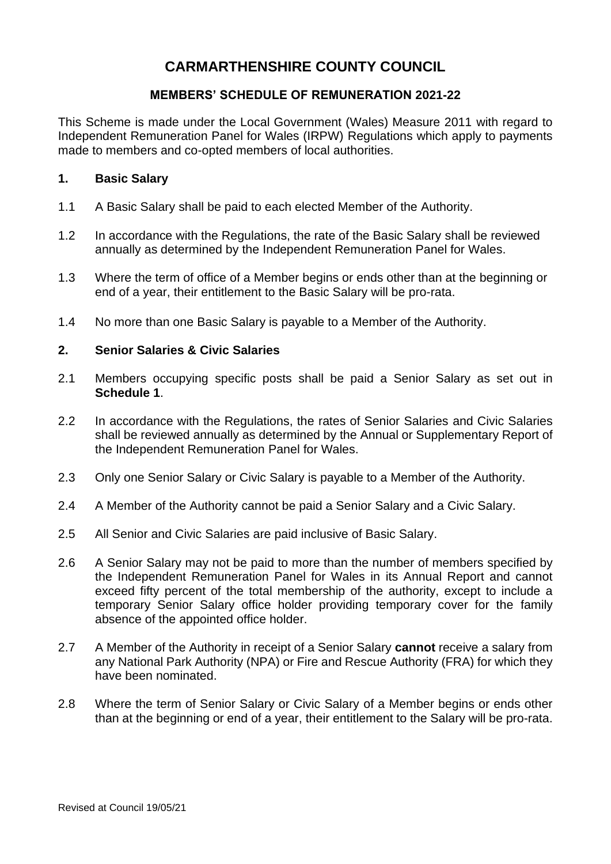# **CARMARTHENSHIRE COUNTY COUNCIL**

# **MEMBERS' SCHEDULE OF REMUNERATION 2021-22**

This Scheme is made under the Local Government (Wales) Measure 2011 with regard to Independent Remuneration Panel for Wales (IRPW) Regulations which apply to payments made to members and co-opted members of local authorities.

### **1. Basic Salary**

- 1.1 A Basic Salary shall be paid to each elected Member of the Authority.
- 1.2 In accordance with the Regulations, the rate of the Basic Salary shall be reviewed annually as determined by the Independent Remuneration Panel for Wales.
- 1.3 Where the term of office of a Member begins or ends other than at the beginning or end of a year, their entitlement to the Basic Salary will be pro-rata.
- 1.4 No more than one Basic Salary is payable to a Member of the Authority.

#### **2. Senior Salaries & Civic Salaries**

- 2.1 Members occupying specific posts shall be paid a Senior Salary as set out in **Schedule 1**.
- 2.2 In accordance with the Regulations, the rates of Senior Salaries and Civic Salaries shall be reviewed annually as determined by the Annual or Supplementary Report of the Independent Remuneration Panel for Wales.
- 2.3 Only one Senior Salary or Civic Salary is payable to a Member of the Authority.
- 2.4 A Member of the Authority cannot be paid a Senior Salary and a Civic Salary.
- 2.5 All Senior and Civic Salaries are paid inclusive of Basic Salary.
- 2.6 A Senior Salary may not be paid to more than the number of members specified by the Independent Remuneration Panel for Wales in its Annual Report and cannot exceed fifty percent of the total membership of the authority, except to include a temporary Senior Salary office holder providing temporary cover for the family absence of the appointed office holder.
- 2.7 A Member of the Authority in receipt of a Senior Salary **cannot** receive a salary from any National Park Authority (NPA) or Fire and Rescue Authority (FRA) for which they have been nominated.
- 2.8 Where the term of Senior Salary or Civic Salary of a Member begins or ends other than at the beginning or end of a year, their entitlement to the Salary will be pro-rata.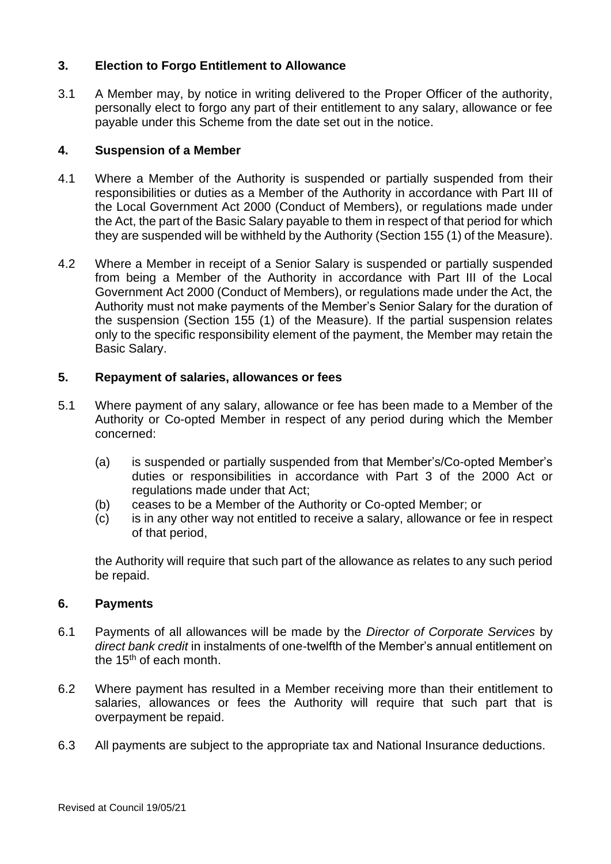# **3. Election to Forgo Entitlement to Allowance**

3.1 A Member may, by notice in writing delivered to the Proper Officer of the authority, personally elect to forgo any part of their entitlement to any salary, allowance or fee payable under this Scheme from the date set out in the notice.

#### **4. Suspension of a Member**

- 4.1 Where a Member of the Authority is suspended or partially suspended from their responsibilities or duties as a Member of the Authority in accordance with Part III of the Local Government Act 2000 (Conduct of Members), or regulations made under the Act, the part of the Basic Salary payable to them in respect of that period for which they are suspended will be withheld by the Authority (Section 155 (1) of the Measure).
- 4.2 Where a Member in receipt of a Senior Salary is suspended or partially suspended from being a Member of the Authority in accordance with Part III of the Local Government Act 2000 (Conduct of Members), or regulations made under the Act, the Authority must not make payments of the Member's Senior Salary for the duration of the suspension (Section 155 (1) of the Measure). If the partial suspension relates only to the specific responsibility element of the payment, the Member may retain the Basic Salary.

# **5. Repayment of salaries, allowances or fees**

- 5.1 Where payment of any salary, allowance or fee has been made to a Member of the Authority or Co-opted Member in respect of any period during which the Member concerned:
	- (a) is suspended or partially suspended from that Member's/Co-opted Member's duties or responsibilities in accordance with Part 3 of the 2000 Act or regulations made under that Act;
	- (b) ceases to be a Member of the Authority or Co-opted Member; or
	- (c) is in any other way not entitled to receive a salary, allowance or fee in respect of that period,

the Authority will require that such part of the allowance as relates to any such period be repaid.

#### **6. Payments**

- 6.1 Payments of all allowances will be made by the *Director of Corporate Services* by *direct bank credit* in instalments of one-twelfth of the Member's annual entitlement on the  $15<sup>th</sup>$  of each month.
- 6.2 Where payment has resulted in a Member receiving more than their entitlement to salaries, allowances or fees the Authority will require that such part that is overpayment be repaid.
- 6.3 All payments are subject to the appropriate tax and National Insurance deductions.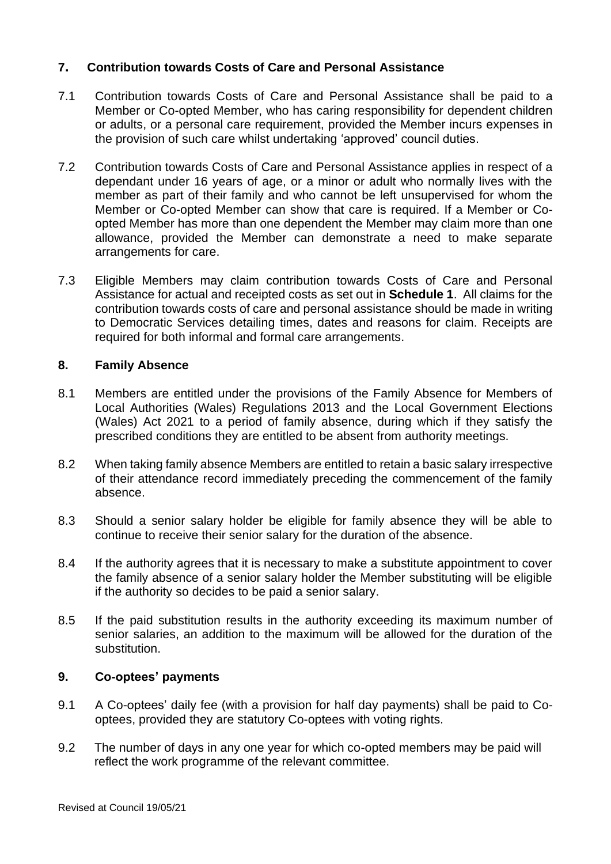# **7. Contribution towards Costs of Care and Personal Assistance**

- 7.1 Contribution towards Costs of Care and Personal Assistance shall be paid to a Member or Co-opted Member, who has caring responsibility for dependent children or adults, or a personal care requirement, provided the Member incurs expenses in the provision of such care whilst undertaking 'approved' council duties.
- 7.2 Contribution towards Costs of Care and Personal Assistance applies in respect of a dependant under 16 years of age, or a minor or adult who normally lives with the member as part of their family and who cannot be left unsupervised for whom the Member or Co-opted Member can show that care is required. If a Member or Coopted Member has more than one dependent the Member may claim more than one allowance, provided the Member can demonstrate a need to make separate arrangements for care.
- 7.3 Eligible Members may claim contribution towards Costs of Care and Personal Assistance for actual and receipted costs as set out in **Schedule 1**. All claims for the contribution towards costs of care and personal assistance should be made in writing to Democratic Services detailing times, dates and reasons for claim. Receipts are required for both informal and formal care arrangements.

### **8. Family Absence**

- 8.1 Members are entitled under the provisions of the Family Absence for Members of Local Authorities (Wales) Regulations 2013 and the Local Government Elections (Wales) Act 2021 to a period of family absence, during which if they satisfy the prescribed conditions they are entitled to be absent from authority meetings.
- 8.2 When taking family absence Members are entitled to retain a basic salary irrespective of their attendance record immediately preceding the commencement of the family absence.
- 8.3 Should a senior salary holder be eligible for family absence they will be able to continue to receive their senior salary for the duration of the absence.
- 8.4 If the authority agrees that it is necessary to make a substitute appointment to cover the family absence of a senior salary holder the Member substituting will be eligible if the authority so decides to be paid a senior salary.
- 8.5 If the paid substitution results in the authority exceeding its maximum number of senior salaries, an addition to the maximum will be allowed for the duration of the substitution.

#### **9. Co-optees' payments**

- 9.1 A Co-optees' daily fee (with a provision for half day payments) shall be paid to Cooptees, provided they are statutory Co-optees with voting rights.
- 9.2 The number of days in any one year for which co-opted members may be paid will reflect the work programme of the relevant committee.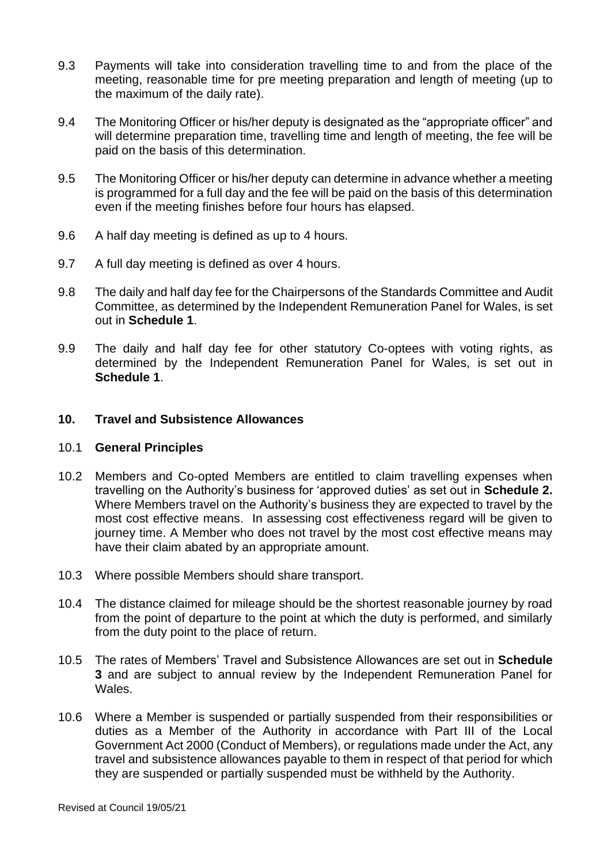- 9.3 Payments will take into consideration travelling time to and from the place of the meeting, reasonable time for pre meeting preparation and length of meeting (up to the maximum of the daily rate).
- 9.4 The Monitoring Officer or his/her deputy is designated as the "appropriate officer" and will determine preparation time, travelling time and length of meeting, the fee will be paid on the basis of this determination.
- 9.5 The Monitoring Officer or his/her deputy can determine in advance whether a meeting is programmed for a full day and the fee will be paid on the basis of this determination even if the meeting finishes before four hours has elapsed.
- 9.6 A half day meeting is defined as up to 4 hours.
- 9.7 A full day meeting is defined as over 4 hours.
- 9.8 The daily and half day fee for the Chairpersons of the Standards Committee and Audit Committee, as determined by the Independent Remuneration Panel for Wales, is set out in **Schedule 1**.
- 9.9 The daily and half day fee for other statutory Co-optees with voting rights, as determined by the Independent Remuneration Panel for Wales, is set out in **Schedule 1**.

#### **10. Travel and Subsistence Allowances**

#### 10.1 **General Principles**

- 10.2 Members and Co-opted Members are entitled to claim travelling expenses when travelling on the Authority's business for 'approved duties' as set out in **Schedule 2.**  Where Members travel on the Authority's business they are expected to travel by the most cost effective means. In assessing cost effectiveness regard will be given to journey time. A Member who does not travel by the most cost effective means may have their claim abated by an appropriate amount.
- 10.3 Where possible Members should share transport.
- 10.4 The distance claimed for mileage should be the shortest reasonable journey by road from the point of departure to the point at which the duty is performed, and similarly from the duty point to the place of return.
- 10.5 The rates of Members' Travel and Subsistence Allowances are set out in **Schedule 3** and are subject to annual review by the Independent Remuneration Panel for Wales.
- 10.6 Where a Member is suspended or partially suspended from their responsibilities or duties as a Member of the Authority in accordance with Part III of the Local Government Act 2000 (Conduct of Members), or regulations made under the Act, any travel and subsistence allowances payable to them in respect of that period for which they are suspended or partially suspended must be withheld by the Authority.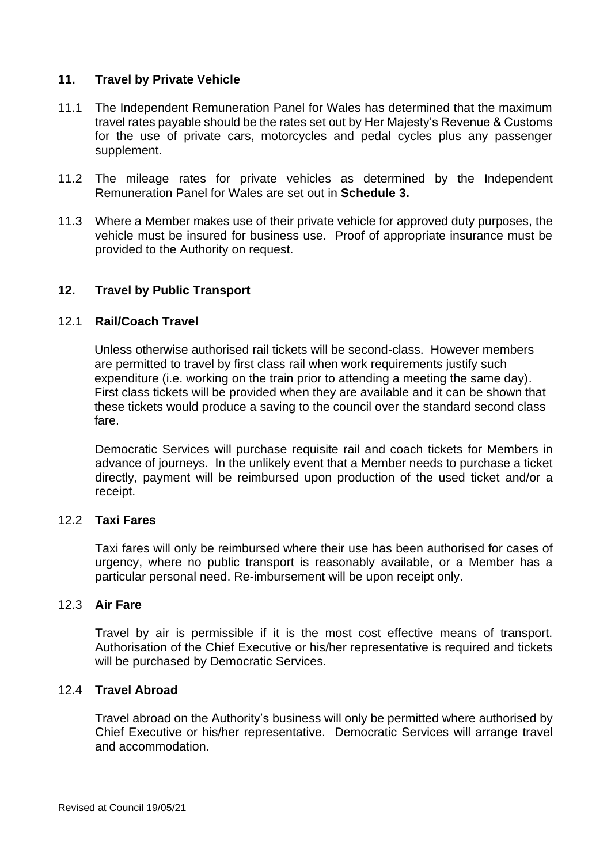#### **11. Travel by Private Vehicle**

- 11.1 The Independent Remuneration Panel for Wales has determined that the maximum travel rates payable should be the rates set out by Her Majesty's Revenue & Customs for the use of private cars, motorcycles and pedal cycles plus any passenger supplement.
- 11.2 The mileage rates for private vehicles as determined by the Independent Remuneration Panel for Wales are set out in **Schedule 3.**
- 11.3 Where a Member makes use of their private vehicle for approved duty purposes, the vehicle must be insured for business use. Proof of appropriate insurance must be provided to the Authority on request.

#### **12. Travel by Public Transport**

#### 12.1 **Rail/Coach Travel**

Unless otherwise authorised rail tickets will be second-class. However members are permitted to travel by first class rail when work requirements justify such expenditure (i.e. working on the train prior to attending a meeting the same day). First class tickets will be provided when they are available and it can be shown that these tickets would produce a saving to the council over the standard second class fare.

Democratic Services will purchase requisite rail and coach tickets for Members in advance of journeys. In the unlikely event that a Member needs to purchase a ticket directly, payment will be reimbursed upon production of the used ticket and/or a receipt.

#### 12.2 **Taxi Fares**

Taxi fares will only be reimbursed where their use has been authorised for cases of urgency, where no public transport is reasonably available, or a Member has a particular personal need. Re-imbursement will be upon receipt only.

#### 12.3 **Air Fare**

Travel by air is permissible if it is the most cost effective means of transport. Authorisation of the Chief Executive or his/her representative is required and tickets will be purchased by Democratic Services.

#### 12.4 **Travel Abroad**

Travel abroad on the Authority's business will only be permitted where authorised by Chief Executive or his/her representative. Democratic Services will arrange travel and accommodation.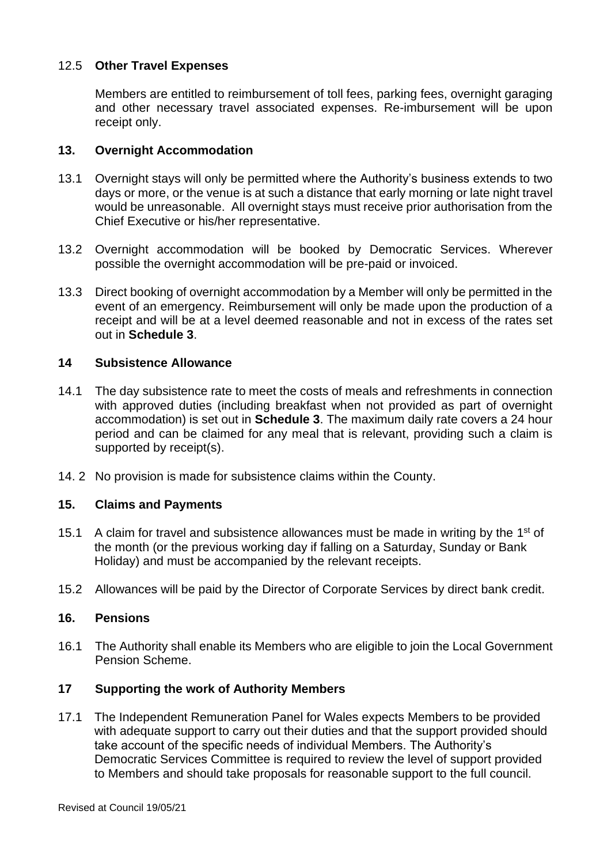# 12.5 **Other Travel Expenses**

Members are entitled to reimbursement of toll fees, parking fees, overnight garaging and other necessary travel associated expenses. Re-imbursement will be upon receipt only.

#### **13. Overnight Accommodation**

- 13.1 Overnight stays will only be permitted where the Authority's business extends to two days or more, or the venue is at such a distance that early morning or late night travel would be unreasonable. All overnight stays must receive prior authorisation from the Chief Executive or his/her representative.
- 13.2 Overnight accommodation will be booked by Democratic Services. Wherever possible the overnight accommodation will be pre-paid or invoiced.
- 13.3 Direct booking of overnight accommodation by a Member will only be permitted in the event of an emergency. Reimbursement will only be made upon the production of a receipt and will be at a level deemed reasonable and not in excess of the rates set out in **Schedule 3**.

#### **14 Subsistence Allowance**

- 14.1 The day subsistence rate to meet the costs of meals and refreshments in connection with approved duties (including breakfast when not provided as part of overnight accommodation) is set out in **Schedule 3**. The maximum daily rate covers a 24 hour period and can be claimed for any meal that is relevant, providing such a claim is supported by receipt(s).
- 14. 2 No provision is made for subsistence claims within the County.

#### **15. Claims and Payments**

- 15.1 A claim for travel and subsistence allowances must be made in writing by the 1<sup>st</sup> of the month (or the previous working day if falling on a Saturday, Sunday or Bank Holiday) and must be accompanied by the relevant receipts.
- 15.2 Allowances will be paid by the Director of Corporate Services by direct bank credit.

#### **16. Pensions**

16.1 The Authority shall enable its Members who are eligible to join the Local Government Pension Scheme.

#### **17 Supporting the work of Authority Members**

17.1 The Independent Remuneration Panel for Wales expects Members to be provided with adequate support to carry out their duties and that the support provided should take account of the specific needs of individual Members. The Authority's Democratic Services Committee is required to review the level of support provided to Members and should take proposals for reasonable support to the full council.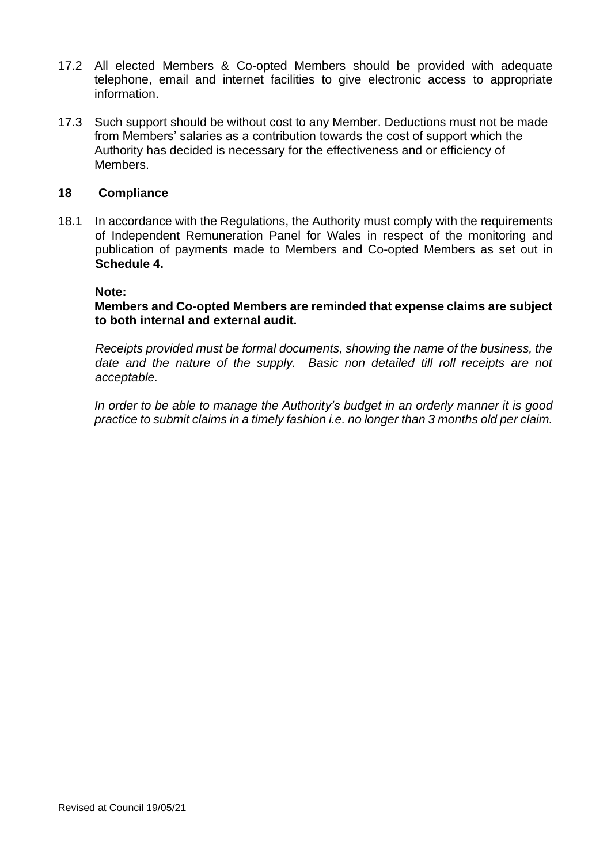- 17.2 All elected Members & Co-opted Members should be provided with adequate telephone, email and internet facilities to give electronic access to appropriate information.
- 17.3 Such support should be without cost to any Member. Deductions must not be made from Members' salaries as a contribution towards the cost of support which the Authority has decided is necessary for the effectiveness and or efficiency of Members.

#### **18 Compliance**

18.1 In accordance with the Regulations, the Authority must comply with the requirements of Independent Remuneration Panel for Wales in respect of the monitoring and publication of payments made to Members and Co-opted Members as set out in **Schedule 4.**

#### **Note:**

**Members and Co-opted Members are reminded that expense claims are subject to both internal and external audit.**

*Receipts provided must be formal documents, showing the name of the business, the date and the nature of the supply. Basic non detailed till roll receipts are not acceptable.*

*In order to be able to manage the Authority's budget in an orderly manner it is good practice to submit claims in a timely fashion i.e. no longer than 3 months old per claim.*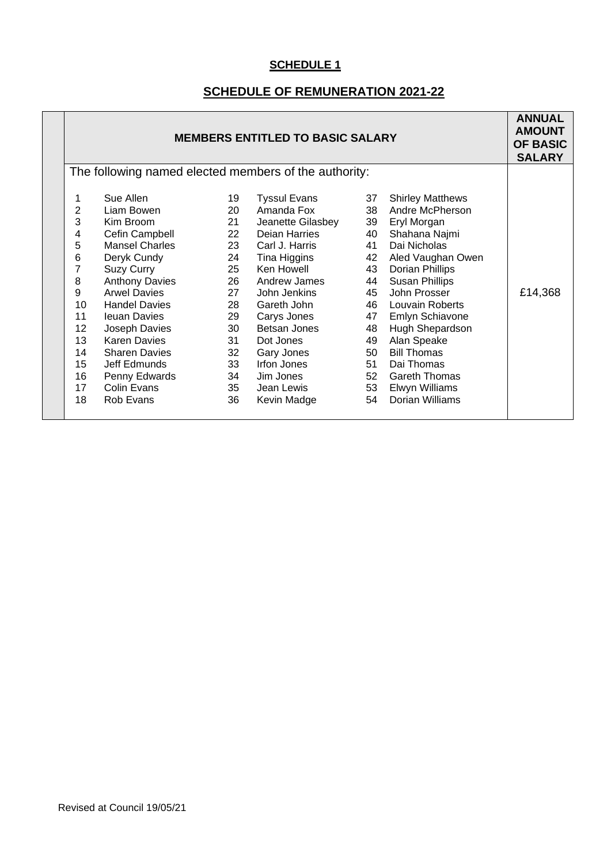# **SCHEDULE OF REMUNERATION 2021-22**

| <b>MEMBERS ENTITLED TO BASIC SALARY</b>                                                                      |                                                                                                                                                                                                                                                                                                                                                 |                                                                                                                       |                                                                                                                                                                                                                                                                                           | <b>ANNUAL</b><br><b>AMOUNT</b><br><b>OF BASIC</b><br><b>SALARY</b> |                                                                                                                                                                                                                                                                                                       |                                                                                                                         |
|--------------------------------------------------------------------------------------------------------------|-------------------------------------------------------------------------------------------------------------------------------------------------------------------------------------------------------------------------------------------------------------------------------------------------------------------------------------------------|-----------------------------------------------------------------------------------------------------------------------|-------------------------------------------------------------------------------------------------------------------------------------------------------------------------------------------------------------------------------------------------------------------------------------------|--------------------------------------------------------------------|-------------------------------------------------------------------------------------------------------------------------------------------------------------------------------------------------------------------------------------------------------------------------------------------------------|-------------------------------------------------------------------------------------------------------------------------|
| The following named elected members of the authority:                                                        |                                                                                                                                                                                                                                                                                                                                                 |                                                                                                                       |                                                                                                                                                                                                                                                                                           |                                                                    |                                                                                                                                                                                                                                                                                                       |                                                                                                                         |
| 1<br>$\overline{2}$<br>3<br>4<br>5<br>6<br>7<br>8<br>9<br>10<br>11<br>12<br>13<br>14<br>15<br>16<br>17<br>18 | Sue Allen<br>Liam Bowen<br>Kim Broom<br>Cefin Campbell<br><b>Mansel Charles</b><br>Deryk Cundy<br><b>Suzy Curry</b><br><b>Anthony Davies</b><br><b>Arwel Davies</b><br><b>Handel Davies</b><br><b>Ieuan Davies</b><br>Joseph Davies<br><b>Karen Davies</b><br><b>Sharen Davies</b><br>Jeff Edmunds<br>Penny Edwards<br>Colin Evans<br>Rob Evans | 19<br>20<br>21<br>22<br>23<br>24<br>25<br>26<br>27<br>28<br>29<br>30<br>31<br>32<br>33<br>34<br>35 <sup>5</sup><br>36 | <b>Tyssul Evans</b><br>Amanda Fox<br>Jeanette Gilasbey<br>Deian Harries<br>Carl J. Harris<br>Tina Higgins<br>Ken Howell<br>Andrew James<br>John Jenkins<br>Gareth John<br>Carys Jones<br>Betsan Jones<br>Dot Jones<br>Gary Jones<br>Irfon Jones<br>Jim Jones<br>Jean Lewis<br>Kevin Madge | 37<br>40<br>41<br>48<br>49                                         | <b>Shirley Matthews</b><br>Andre McPherson<br>Eryl Morgan<br>Shahana Najmi<br>Dai Nicholas<br>Aled Vaughan Owen<br><b>Dorian Phillips</b><br><b>Susan Phillips</b><br>John Prosser<br><b>Emlyn Schiavone</b><br>Hugh Shepardson<br>Alan Speake<br><b>Bill Thomas</b><br>Dai Thomas<br>Dorian Williams | £14,368                                                                                                                 |
|                                                                                                              |                                                                                                                                                                                                                                                                                                                                                 |                                                                                                                       |                                                                                                                                                                                                                                                                                           |                                                                    |                                                                                                                                                                                                                                                                                                       | 38<br>39<br>42<br>43<br>44<br>45<br>46 Louvain Roberts<br>47<br>50<br>51<br>52 Gareth Thomas<br>53 Elwyn Williams<br>54 |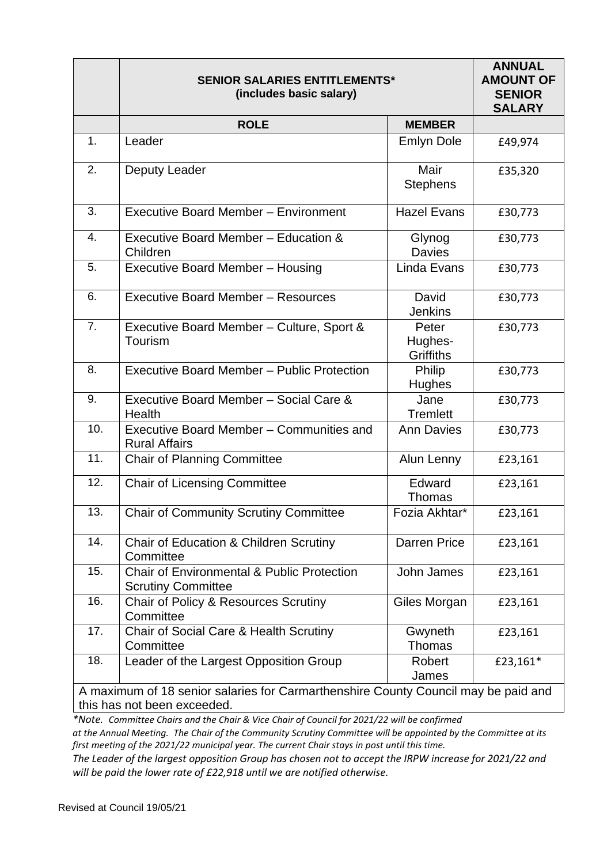|                                                                                    | <b>SENIOR SALARIES ENTITLEMENTS*</b><br>(includes basic salary)                    |                                      | <b>ANNUAL</b><br><b>AMOUNT OF</b><br><b>SENIOR</b><br><b>SALARY</b> |
|------------------------------------------------------------------------------------|------------------------------------------------------------------------------------|--------------------------------------|---------------------------------------------------------------------|
|                                                                                    | <b>ROLE</b>                                                                        | <b>MEMBER</b>                        |                                                                     |
| 1.                                                                                 | Leader                                                                             | <b>Emlyn Dole</b>                    | £49,974                                                             |
| 2.                                                                                 | Deputy Leader                                                                      | Mair<br><b>Stephens</b>              | £35,320                                                             |
| 3.                                                                                 | <b>Executive Board Member - Environment</b>                                        | <b>Hazel Evans</b>                   | £30,773                                                             |
| 4.                                                                                 | Executive Board Member - Education &<br>Children                                   | Glynog<br><b>Davies</b>              | £30,773                                                             |
| 5.                                                                                 | <b>Executive Board Member - Housing</b>                                            | Linda Evans                          | £30,773                                                             |
| 6.                                                                                 | <b>Executive Board Member - Resources</b>                                          | David<br><b>Jenkins</b>              | £30,773                                                             |
| 7.                                                                                 | Executive Board Member - Culture, Sport &<br>Tourism                               | Peter<br>Hughes-<br><b>Griffiths</b> | £30,773                                                             |
| 8.                                                                                 | <b>Executive Board Member - Public Protection</b>                                  | Philip<br><b>Hughes</b>              | £30,773                                                             |
| 9.                                                                                 | Executive Board Member - Social Care &<br>Health                                   | Jane<br><b>Tremlett</b>              | £30,773                                                             |
| 10.                                                                                | Executive Board Member - Communities and<br><b>Rural Affairs</b>                   | <b>Ann Davies</b>                    | £30,773                                                             |
| 11.                                                                                | <b>Chair of Planning Committee</b>                                                 | Alun Lenny                           | £23,161                                                             |
| 12.                                                                                | <b>Chair of Licensing Committee</b>                                                | Edward<br>Thomas                     | £23,161                                                             |
| 13.                                                                                | <b>Chair of Community Scrutiny Committee</b>                                       | Fozia Akhtar*                        | £23,161                                                             |
| 14.                                                                                | Chair of Education & Children Scrutiny<br>Committee                                | <b>Darren Price</b>                  | £23,161                                                             |
| 15.                                                                                | <b>Chair of Environmental &amp; Public Protection</b><br><b>Scrutiny Committee</b> | John James                           | £23,161                                                             |
| 16.                                                                                | Chair of Policy & Resources Scrutiny<br>Committee                                  | Giles Morgan                         | £23,161                                                             |
| 17.                                                                                | Chair of Social Care & Health Scrutiny<br>Committee                                | Gwyneth<br>Thomas                    | £23,161                                                             |
| 18.                                                                                | Leader of the Largest Opposition Group                                             | Robert<br>James                      | £23,161*                                                            |
| A maximum of 18 senior salaries for Carmarthenshire County Council may be paid and |                                                                                    |                                      |                                                                     |

this has not been exceeded.

*\*Note. Committee Chairs and the Chair & Vice Chair of Council for 2021/22 will be confirmed*

*at the Annual Meeting. The Chair of the Community Scrutiny Committee will be appointed by the Committee at its first meeting of the 2021/22 municipal year. The current Chair stays in post until this time.*

*The Leader of the largest opposition Group has chosen not to accept the IRPW increase for 2021/22 and will be paid the lower rate of £22,918 until we are notified otherwise.*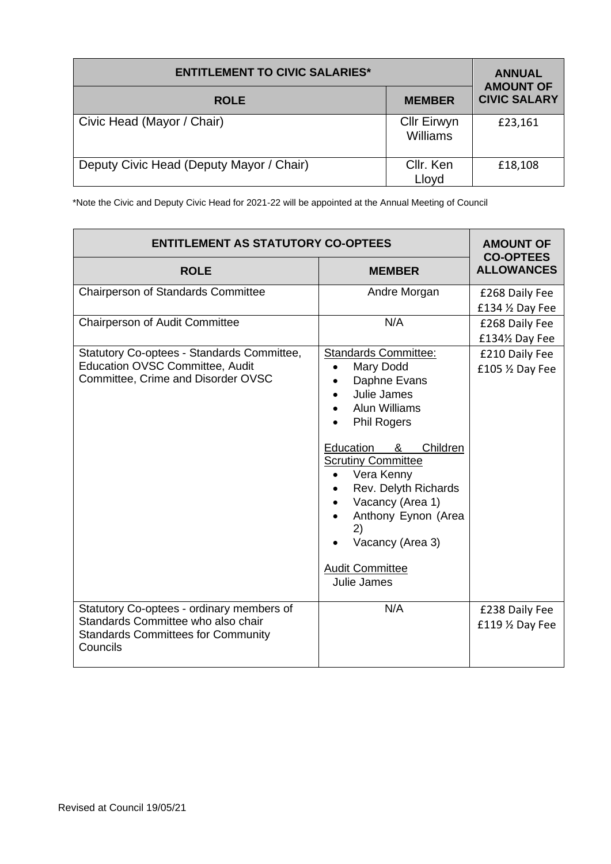| <b>ENTITLEMENT TO CIVIC SALARIES*</b>    | <b>ANNUAL</b><br><b>AMOUNT OF</b> |                     |
|------------------------------------------|-----------------------------------|---------------------|
| <b>ROLE</b>                              | <b>MEMBER</b>                     | <b>CIVIC SALARY</b> |
| Civic Head (Mayor / Chair)               | <b>Cllr Eirwyn</b><br>Williams    | £23,161             |
| Deputy Civic Head (Deputy Mayor / Chair) | Cllr. Ken<br>Lloyd                | £18,108             |

\*Note the Civic and Deputy Civic Head for 2021-22 will be appointed at the Annual Meeting of Council

| <b>ENTITLEMENT AS STATUTORY CO-OPTEES</b>                                                                                                | <b>AMOUNT OF</b>                                                                                                                                                                                                                                                                                                                                  |                                       |  |
|------------------------------------------------------------------------------------------------------------------------------------------|---------------------------------------------------------------------------------------------------------------------------------------------------------------------------------------------------------------------------------------------------------------------------------------------------------------------------------------------------|---------------------------------------|--|
| <b>ROLE</b>                                                                                                                              | <b>MEMBER</b>                                                                                                                                                                                                                                                                                                                                     | <b>CO-OPTEES</b><br><b>ALLOWANCES</b> |  |
| <b>Chairperson of Standards Committee</b>                                                                                                | Andre Morgan                                                                                                                                                                                                                                                                                                                                      | £268 Daily Fee<br>£134 1/2 Day Fee    |  |
| Chairperson of Audit Committee                                                                                                           | N/A                                                                                                                                                                                                                                                                                                                                               | £268 Daily Fee<br>£134½ Day Fee       |  |
| Statutory Co-optees - Standards Committee,<br><b>Education OVSC Committee, Audit</b><br>Committee, Crime and Disorder OVSC               | <b>Standards Committee:</b><br>Mary Dodd<br>$\bullet$<br>Daphne Evans<br>Julie James<br><b>Alun Williams</b><br><b>Phil Rogers</b><br>Education<br>Children<br>&<br><b>Scrutiny Committee</b><br>Vera Kenny<br>Rev. Delyth Richards<br>Vacancy (Area 1)<br>Anthony Eynon (Area<br>2)<br>Vacancy (Area 3)<br><b>Audit Committee</b><br>Julie James | £210 Daily Fee<br>£105 1/2 Day Fee    |  |
| Statutory Co-optees - ordinary members of<br>Standards Committee who also chair<br><b>Standards Committees for Community</b><br>Councils | N/A                                                                                                                                                                                                                                                                                                                                               | £238 Daily Fee<br>£119 1/2 Day Fee    |  |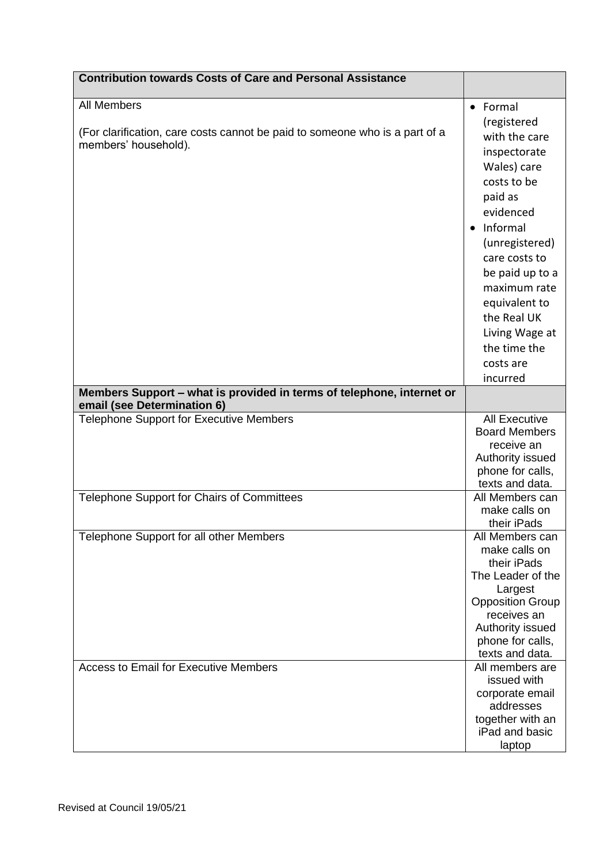| <b>Contribution towards Costs of Care and Personal Assistance</b>                                                         |                                                                                                                                                                                                                                                                                               |
|---------------------------------------------------------------------------------------------------------------------------|-----------------------------------------------------------------------------------------------------------------------------------------------------------------------------------------------------------------------------------------------------------------------------------------------|
| <b>All Members</b><br>(For clarification, care costs cannot be paid to someone who is a part of a<br>members' household). | • Formal<br>(registered<br>with the care<br>inspectorate<br>Wales) care<br>costs to be<br>paid as<br>evidenced<br>• Informal<br>(unregistered)<br>care costs to<br>be paid up to a<br>maximum rate<br>equivalent to<br>the Real UK<br>Living Wage at<br>the time the<br>costs are<br>incurred |
| Members Support - what is provided in terms of telephone, internet or<br>email (see Determination 6)                      |                                                                                                                                                                                                                                                                                               |
| Telephone Support for Executive Members                                                                                   | <b>All Executive</b><br><b>Board Members</b><br>receive an<br>Authority issued<br>phone for calls,<br>texts and data.                                                                                                                                                                         |
| Telephone Support for Chairs of Committees                                                                                | All Members can<br>make calls on<br>their iPads                                                                                                                                                                                                                                               |
| Telephone Support for all other Members                                                                                   | All Members can<br>make calls on<br>their iPads<br>The Leader of the<br>Largest<br><b>Opposition Group</b><br>receives an<br>Authority issued<br>phone for calls,<br>texts and data.                                                                                                          |
| <b>Access to Email for Executive Members</b>                                                                              | All members are<br>issued with<br>corporate email<br>addresses<br>together with an<br>iPad and basic<br>laptop                                                                                                                                                                                |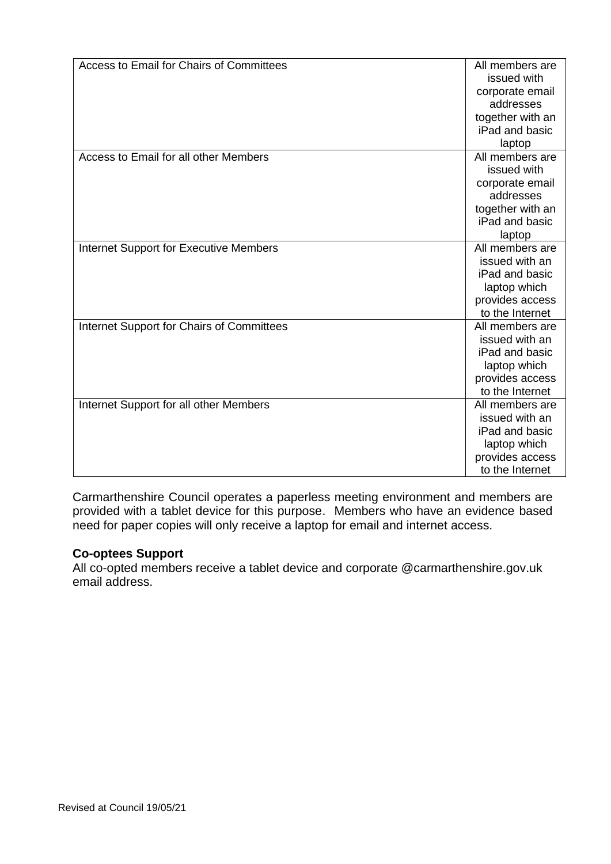| Access to Email for Chairs of Committees      | All members are  |
|-----------------------------------------------|------------------|
|                                               | issued with      |
|                                               | corporate email  |
|                                               | addresses        |
|                                               | together with an |
|                                               | iPad and basic   |
|                                               | laptop           |
| Access to Email for all other Members         | All members are  |
|                                               | issued with      |
|                                               | corporate email  |
|                                               | addresses        |
|                                               | together with an |
|                                               | iPad and basic   |
|                                               | laptop           |
| <b>Internet Support for Executive Members</b> | All members are  |
|                                               | issued with an   |
|                                               | iPad and basic   |
|                                               | laptop which     |
|                                               | provides access  |
|                                               | to the Internet  |
| Internet Support for Chairs of Committees     | All members are  |
|                                               | issued with an   |
|                                               | iPad and basic   |
|                                               | laptop which     |
|                                               | provides access  |
|                                               | to the Internet  |
| Internet Support for all other Members        | All members are  |
|                                               | issued with an   |
|                                               | iPad and basic   |
|                                               | laptop which     |
|                                               | provides access  |
|                                               | to the Internet  |

Carmarthenshire Council operates a paperless meeting environment and members are provided with a tablet device for this purpose. Members who have an evidence based need for paper copies will only receive a laptop for email and internet access.

#### **Co-optees Support**

All co-opted members receive a tablet device and corporate @carmarthenshire.gov.uk email address.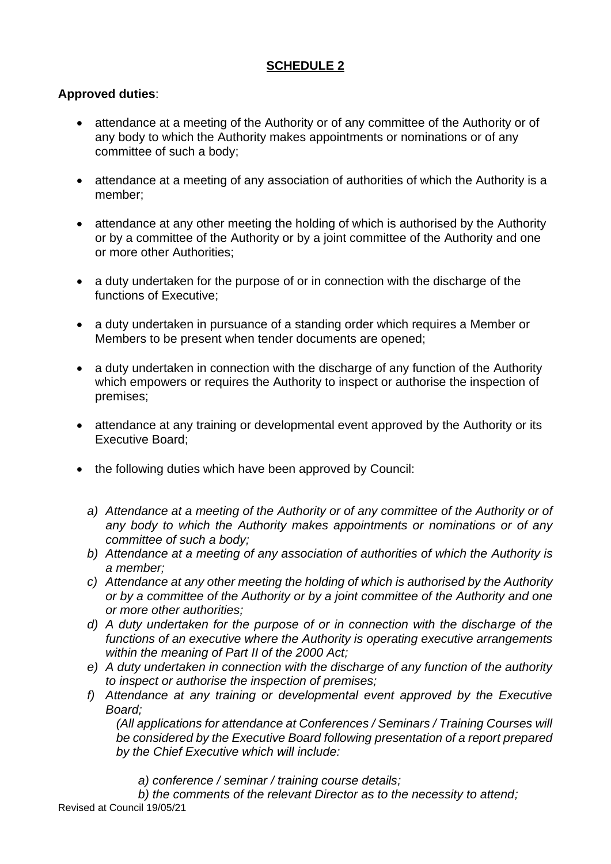# **Approved duties**:

- attendance at a meeting of the Authority or of any committee of the Authority or of any body to which the Authority makes appointments or nominations or of any committee of such a body;
- attendance at a meeting of any association of authorities of which the Authority is a member;
- attendance at any other meeting the holding of which is authorised by the Authority or by a committee of the Authority or by a joint committee of the Authority and one or more other Authorities;
- a duty undertaken for the purpose of or in connection with the discharge of the functions of Executive;
- a duty undertaken in pursuance of a standing order which requires a Member or Members to be present when tender documents are opened;
- a duty undertaken in connection with the discharge of any function of the Authority which empowers or requires the Authority to inspect or authorise the inspection of premises;
- attendance at any training or developmental event approved by the Authority or its Executive Board;
- the following duties which have been approved by Council:
	- *a) Attendance at a meeting of the Authority or of any committee of the Authority or of any body to which the Authority makes appointments or nominations or of any committee of such a body;*
	- *b) Attendance at a meeting of any association of authorities of which the Authority is a member;*
	- *c) Attendance at any other meeting the holding of which is authorised by the Authority or by a committee of the Authority or by a joint committee of the Authority and one or more other authorities;*
	- *d) A duty undertaken for the purpose of or in connection with the discharge of the functions of an executive where the Authority is operating executive arrangements within the meaning of Part II of the 2000 Act;*
	- *e) A duty undertaken in connection with the discharge of any function of the authority to inspect or authorise the inspection of premises;*
	- *f) Attendance at any training or developmental event approved by the Executive Board;*

*(All applications for attendance at Conferences / Seminars / Training Courses will be considered by the Executive Board following presentation of a report prepared by the Chief Executive which will include:*

*a) conference / seminar / training course details;*

Revised at Council 19/05/21 *b) the comments of the relevant Director as to the necessity to attend;*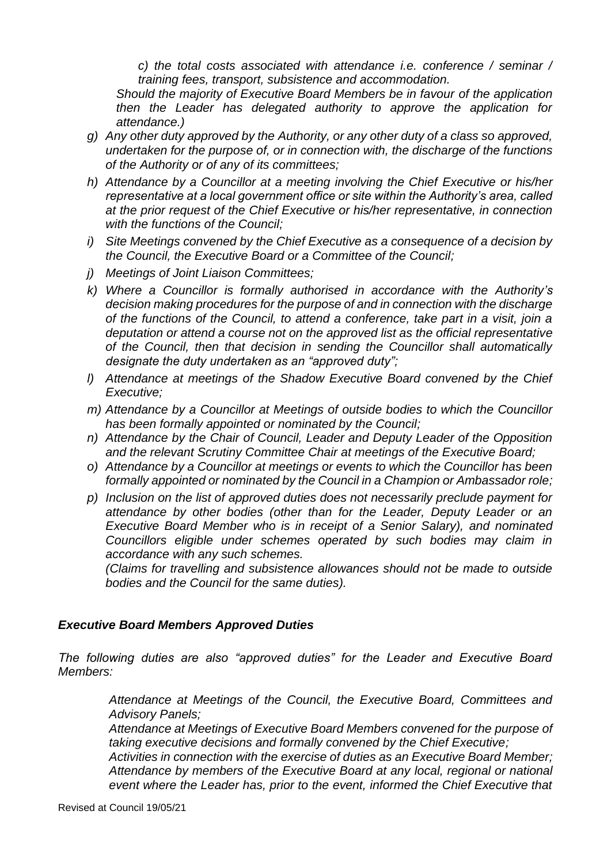*c) the total costs associated with attendance i.e. conference / seminar / training fees, transport, subsistence and accommodation.*

*Should the majority of Executive Board Members be in favour of the application then the Leader has delegated authority to approve the application for attendance.)*

- *g) Any other duty approved by the Authority, or any other duty of a class so approved, undertaken for the purpose of, or in connection with, the discharge of the functions of the Authority or of any of its committees;*
- *h) Attendance by a Councillor at a meeting involving the Chief Executive or his/her representative at a local government office or site within the Authority's area, called at the prior request of the Chief Executive or his/her representative, in connection with the functions of the Council;*
- *i) Site Meetings convened by the Chief Executive as a consequence of a decision by the Council, the Executive Board or a Committee of the Council;*
- *j) Meetings of Joint Liaison Committees;*
- *k) Where a Councillor is formally authorised in accordance with the Authority's decision making procedures for the purpose of and in connection with the discharge of the functions of the Council, to attend a conference, take part in a visit, join a deputation or attend a course not on the approved list as the official representative of the Council, then that decision in sending the Councillor shall automatically designate the duty undertaken as an "approved duty";*
- *l) Attendance at meetings of the Shadow Executive Board convened by the Chief Executive;*
- *m) Attendance by a Councillor at Meetings of outside bodies to which the Councillor has been formally appointed or nominated by the Council;*
- *n) Attendance by the Chair of Council, Leader and Deputy Leader of the Opposition and the relevant Scrutiny Committee Chair at meetings of the Executive Board;*
- *o) Attendance by a Councillor at meetings or events to which the Councillor has been formally appointed or nominated by the Council in a Champion or Ambassador role;*
- *p) Inclusion on the list of approved duties does not necessarily preclude payment for attendance by other bodies (other than for the Leader, Deputy Leader or an Executive Board Member who is in receipt of a Senior Salary), and nominated Councillors eligible under schemes operated by such bodies may claim in accordance with any such schemes.*

*(Claims for travelling and subsistence allowances should not be made to outside bodies and the Council for the same duties).*

#### *Executive Board Members Approved Duties*

*The following duties are also "approved duties" for the Leader and Executive Board Members:*

> *Attendance at Meetings of the Council, the Executive Board, Committees and Advisory Panels;*

> *Attendance at Meetings of Executive Board Members convened for the purpose of taking executive decisions and formally convened by the Chief Executive;*

> *Activities in connection with the exercise of duties as an Executive Board Member; Attendance by members of the Executive Board at any local, regional or national event where the Leader has, prior to the event, informed the Chief Executive that*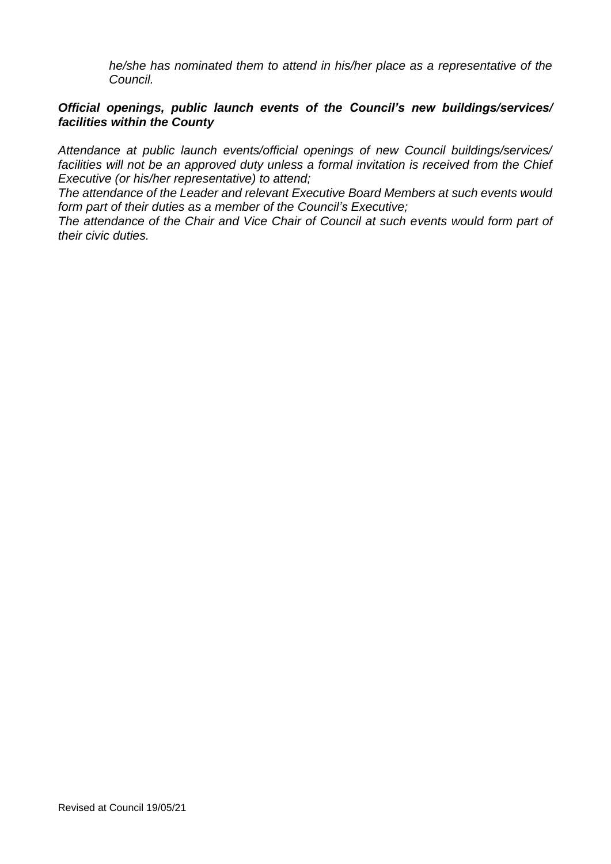*he/she has nominated them to attend in his/her place as a representative of the Council.*

#### *Official openings, public launch events of the Council's new buildings/services/ facilities within the County*

*Attendance at public launch events/official openings of new Council buildings/services/ facilities will not be an approved duty unless a formal invitation is received from the Chief Executive (or his/her representative) to attend;*

*The attendance of the Leader and relevant Executive Board Members at such events would form part of their duties as a member of the Council's Executive;*

*The attendance of the Chair and Vice Chair of Council at such events would form part of their civic duties.*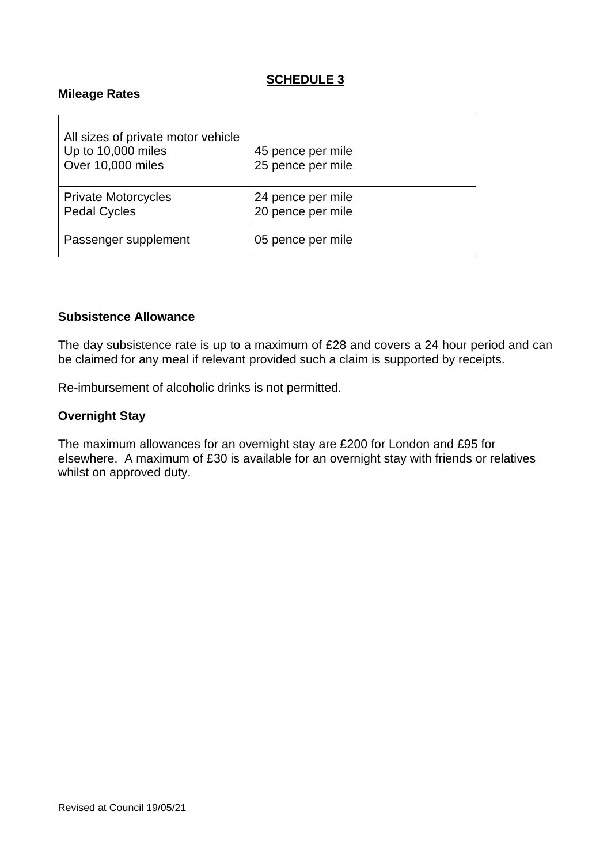#### **Mileage Rates**

| All sizes of private motor vehicle<br>Up to 10,000 miles<br>Over 10,000 miles | 45 pence per mile<br>25 pence per mile |
|-------------------------------------------------------------------------------|----------------------------------------|
| <b>Private Motorcycles</b><br><b>Pedal Cycles</b>                             | 24 pence per mile<br>20 pence per mile |
| Passenger supplement                                                          | 05 pence per mile                      |

#### **Subsistence Allowance**

The day subsistence rate is up to a maximum of £28 and covers a 24 hour period and can be claimed for any meal if relevant provided such a claim is supported by receipts.

Re-imbursement of alcoholic drinks is not permitted.

#### **Overnight Stay**

The maximum allowances for an overnight stay are £200 for London and £95 for elsewhere. A maximum of £30 is available for an overnight stay with friends or relatives whilst on approved duty.